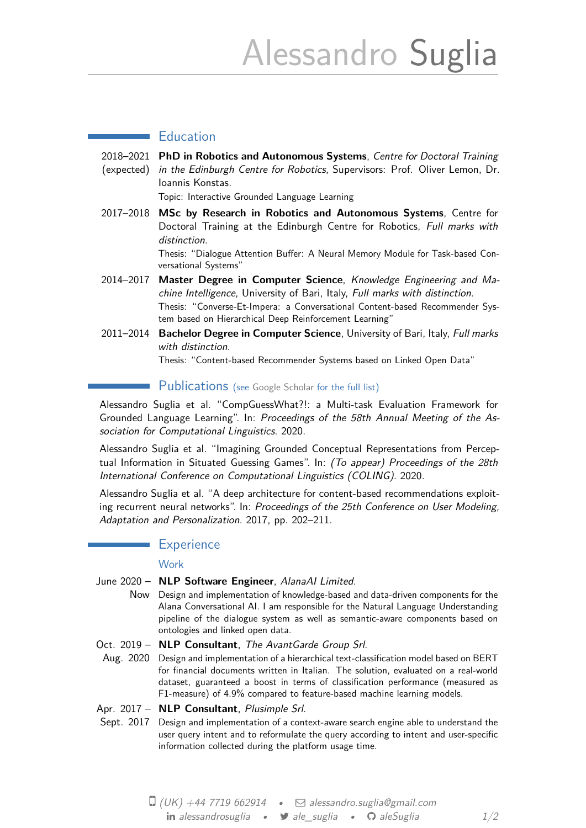# Alessandro Suglia

## **Education**

2018–2021 **PhD in Robotics and Autonomous Systems**, *Centre for Doctoral Training* (expected) *in the Edinburgh Centre for Robotics*, Supervisors: Prof. Oliver Lemon, Dr. Ioannis Konstas.

Topic: Interactive Grounded Language Learning

2017–2018 **MSc by Research in Robotics and Autonomous Systems**, Centre for Doctoral Training at the Edinburgh Centre for Robotics, *Full marks with distinction*.

> Thesis: "Dialogue Attention Buffer: A Neural Memory Module for Task-based Conversational Systems"

- 2014–2017 **Master Degree in Computer Science**, *Knowledge Engineering and Machine Intelligence*, University of Bari, Italy, *Full marks with distinction*. Thesis: "Converse-Et-Impera: a Conversational Content-based Recommender System based on Hierarchical Deep Reinforcement Learning"
- 2011–2014 **Bachelor Degree in Computer Science**, University of Bari, Italy, *Full marks with distinction*.

Thesis: "Content-based Recommender Systems based on Linked Open Data"

## Publications (see Google Scholar for the full list)

Alessandro Suglia et al. "CompGuessWhat?!: a Multi-task Evaluation Framework for Grounded Language Learning". In: *Proceedings of the 58th Annual Meeting of the Association for Computational Linguistics*[. 2020.](https://scholar.google.co.uk/citations?hl=en&user=429MAoUAAAAJ&view_op=list_works&sortby=pubdate)

Alessandro Suglia et al. "Imagining Grounded Conceptual Representations from Perceptual Information in Situated Guessing Games". In: *(To appear) Proceedings of the 28th International Conference on Computational Linguistics (COLING)*. 2020.

Alessandro Suglia et al. "A deep architecture for content-based recommendations exploiting recurrent neural networks". In: *Proceedings of the 25th Conference on User Modeling, Adaptation and Personalization*. 2017, pp. 202–211.

## **Experience**

### **Work**

- June 2020 **NLP Software Engineer**, *AlanaAI Limited*.
	- Now Design and implementation of knowledge-based and data-driven components for the Alana Conversational AI. I am responsible for the Natural Language Understanding pipeline of the dialogue system as well as semantic-aware components based on ontologies and linked open data.

Oct. 2019 – **NLP Consultant**, *The AvantGarde Group Srl*.

Aug. 2020 Design and implementation of a hierarchical text-classification model based on BERT for financial documents written in Italian. The solution, evaluated on a real-world dataset, guaranteed a boost in terms of classification performance (measured as F1-measure) of 4.9% compared to feature-based machine learning models.

### Apr. 2017 – **NLP Consultant**, *Plusimple Srl*.

Sept. 2017 Design and implementation of a context-aware search engine able to understand the user query intent and to reformulate the query according to intent and user-specific information collected during the platform usage time.